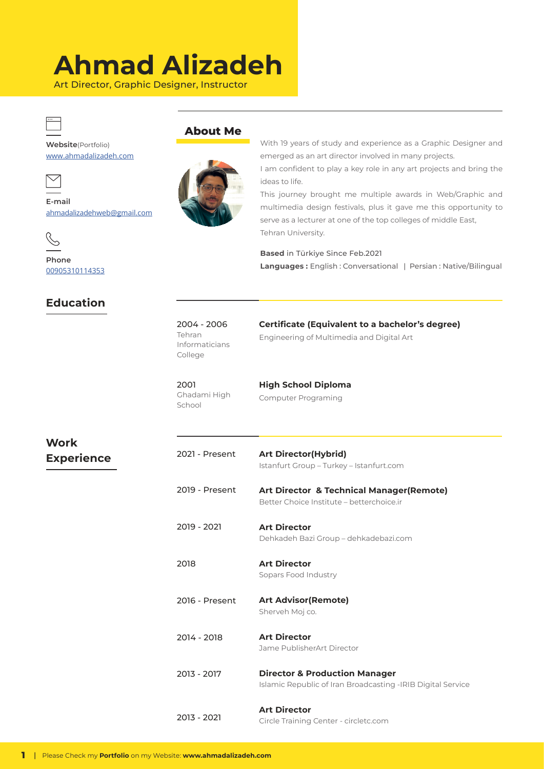## **Ahmad Alizadeh**

Art Director, Graphic Designer, Instructor



**Website**(Portfolio) www.ahmadalizadeh.com



**E-mail** ahmadalizadehweb@gmail.com



**Phone** 00905310114353

## **Education**



**About Me**

With 19 years of study and experience as a Graphic Designer and emerged as an art director involved in many projects.

I am confident to play a key role in any art projects and bring the ideas to life.

This journey brought me multiple awards in Web/Graphic and multimedia design festivals, plus it gave me this opportunity to serve as a lecturer at one of the top colleges of middle East, Tehran University.

**Based** in Türkiye Since Feb.2021 **Languages :** English : Conversational | Persian : Native/Bilingual

2004 - 2006 Tehran Informaticians College

**Certificate (Equivalent to a bachelor's degree)** Engineering of Multimedia and Digital Art

2001 Ghadami High School

**High School Diploma** Computer Programing

| Work              |  |
|-------------------|--|
| <b>Experience</b> |  |

| 2021 - Present | <b>Art Director(Hybrid)</b><br>Istanfurt Group - Turkey - Istanfurt.com                                  |
|----------------|----------------------------------------------------------------------------------------------------------|
| 2019 - Present | <b>Art Director &amp; Technical Manager (Remote)</b><br>Better Choice Institute – betterchoice.ir        |
| 2019 - 2021    | <b>Art Director</b><br>Dehkadeh Bazi Group - dehkadebazi.com                                             |
| 2018           | <b>Art Director</b><br>Sopars Food Industry                                                              |
| 2016 - Present | <b>Art Advisor (Remote)</b>                                                                              |
|                | Sherveh Moj co.                                                                                          |
| 2014 - 2018    | <b>Art Director</b><br>Jame PublisherArt Director                                                        |
| 2013 - 2017    | <b>Director &amp; Production Manager</b><br>Islamic Republic of Iran Broadcasting - IRIB Digital Service |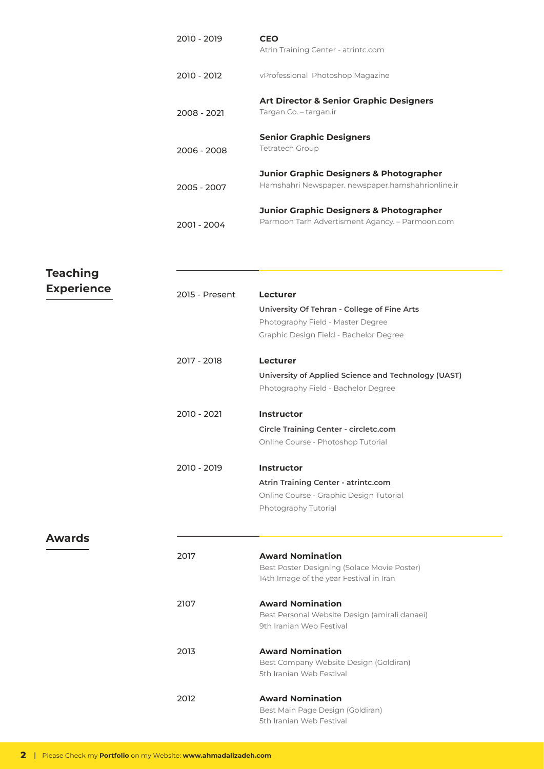| 2010 - 2019 | <b>CEO</b><br>Atrin Training Center - atrintc.com                                             |
|-------------|-----------------------------------------------------------------------------------------------|
| 2010 - 2012 | vProfessional Photoshop Magazine                                                              |
| 2008 - 2021 | <b>Art Director &amp; Senior Graphic Designers</b><br>Targan Co. – targan.ir                  |
| 2006 - 2008 | <b>Senior Graphic Designers</b><br><b>Tetratech Group</b>                                     |
| 2005 - 2007 | Junior Graphic Designers & Photographer<br>Hamshahri Newspaper, newspaper, hamshahrionline.ir |
| 2001 - 2004 | Junior Graphic Designers & Photographer<br>Parmoon Tarh Advertisment Agancy. - Parmoon.com    |

| <b>Teaching</b>   |                |                                                                           |
|-------------------|----------------|---------------------------------------------------------------------------|
|                   |                |                                                                           |
| <b>Experience</b> | 2015 - Present | <b>Lecturer</b>                                                           |
|                   |                | University Of Tehran - College of Fine Arts                               |
|                   |                | Photography Field - Master Degree                                         |
|                   |                | Graphic Design Field - Bachelor Degree                                    |
|                   | 2017 - 2018    | <b>Lecturer</b>                                                           |
|                   |                | University of Applied Science and Technology (UAST)                       |
|                   |                | Photography Field - Bachelor Degree                                       |
|                   | 2010 - 2021    | <b>Instructor</b>                                                         |
|                   |                | Circle Training Center - circletc.com                                     |
|                   |                | Online Course - Photoshop Tutorial                                        |
|                   | 2010 - 2019    | <b>Instructor</b>                                                         |
|                   |                | Atrin Training Center - atrintc.com                                       |
|                   |                | Online Course - Graphic Design Tutorial                                   |
|                   |                | Photography Tutorial                                                      |
| <b>Awards</b>     |                |                                                                           |
|                   | 2017           | <b>Award Nomination</b>                                                   |
|                   |                | Best Poster Designing (Solace Movie Poster)                               |
|                   |                | 14th Image of the year Festival in Iran                                   |
|                   | 2107           | <b>Award Nomination</b>                                                   |
|                   |                | Best Personal Website Design (amirali danaei)<br>9th Iranian Web Festival |
|                   |                |                                                                           |
|                   | 2013           | <b>Award Nomination</b>                                                   |
|                   |                | Best Company Website Design (Goldiran)                                    |
|                   |                | 5th Iranian Web Festival                                                  |
|                   | 2012           | <b>Award Nomination</b>                                                   |
|                   |                | Best Main Page Design (Goldiran)                                          |
|                   |                | 5th Iranian Web Festival                                                  |